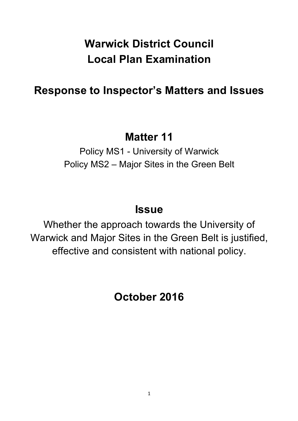# **Warwick District Council Local Plan Examination**

# **Response to Inspector's Matters and Issues**

## **Matter 11**

Policy MS1 - University of Warwick Policy MS2 – Major Sites in the Green Belt

## **Issue**

Whether the approach towards the University of Warwick and Major Sites in the Green Belt is justified, effective and consistent with national policy.

**October 2016**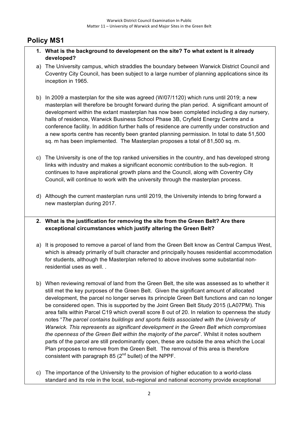## **Policy MS1**

- **1. What is the background to development on the site? To what extent is it already developed?**
- a) The University campus, which straddles the boundary between Warwick District Council and Coventry City Council, has been subject to a large number of planning applications since its inception in 1965.
- b) In 2009 a masterplan for the site was agreed (W/07/1120) which runs until 2019; a new masterplan will therefore be brought forward during the plan period. A significant amount of development within the extant masterplan has now been completed including a day nursery, halls of residence, Warwick Business School Phase 3B, Cryfield Energy Centre and a conference facility. In addition further halls of residence are currently under construction and a new sports centre has recently been granted planning permission. In total to date 51,500 sq. m has been implemented. The Masterplan proposes a total of 81,500 sq. m.
- c) The University is one of the top ranked universities in the country, and has developed strong links with industry and makes a significant economic contribution to the sub-region. It continues to have aspirational growth plans and the Council, along with Coventry City Council, will continue to work with the university through the masterplan process.
- d) Although the current masterplan runs until 2019, the University intends to bring forward a new masterplan during 2017.
- **2. What is the justification for removing the site from the Green Belt? Are there exceptional circumstances which justify altering the Green Belt?**
- a) It is proposed to remove a parcel of land from the Green Belt know as Central Campus West, which is already primarily of built character and principally houses residential accommodation for students, although the Masterplan referred to above involves some substantial nonresidential uses as well.
- b) When reviewing removal of land from the Green Belt, the site was assessed as to whether it still met the key purposes of the Green Belt. Given the significant amount of allocated development, the parcel no longer serves its principle Green Belt functions and can no longer be considered open. This is supported by the Joint Green Belt Study 2015 (LA07PM). This area falls within Parcel C19 which overall score 8 out of 20. In relation to openness the study notes "*The parcel contains buildings and sports fields associated with the University of Warwick. This represents as significant development in the Green Belt which compromises the openness of the Green Belt within the majority of the parcel*". Whilst it notes southern parts of the parcel are still predominantly open, these are outside the area which the Local Plan proposes to remove from the Green Belt. The removal of this area is therefore consistent with paragraph 85  $(2^{nd}$  bullet) of the NPPF.
- c) The importance of the University to the provision of higher education to a world-class standard and its role in the local, sub-regional and national economy provide exceptional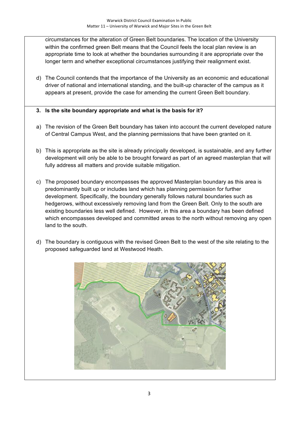circumstances for the alteration of Green Belt boundaries. The location of the University within the confirmed green Belt means that the Council feels the local plan review is an appropriate time to look at whether the boundaries surrounding it are appropriate over the longer term and whether exceptional circumstances justifying their realignment exist.

d) The Council contends that the importance of the University as an economic and educational driver of national and international standing, and the built-up character of the campus as it appears at present, provide the case for amending the current Green Belt boundary.

## **3. Is the site boundary appropriate and what is the basis for it?**

- a) The revision of the Green Belt boundary has taken into account the current developed nature of Central Campus West, and the planning permissions that have been granted on it.
- b) This is appropriate as the site is already principally developed, is sustainable, and any further development will only be able to be brought forward as part of an agreed masterplan that will fully address all matters and provide suitable mitigation.
- c) The proposed boundary encompasses the approved Masterplan boundary as this area is predominantly built up or includes land which has planning permission for further development. Specifically, the boundary generally follows natural boundaries such as hedgerows, without excessively removing land from the Green Belt. Only to the south are existing boundaries less well defined. However, in this area a boundary has been defined which encompasses developed and committed areas to the north without removing any open land to the south.
- d) The boundary is contiguous with the revised Green Belt to the west of the site relating to the proposed safeguarded land at Westwood Heath.

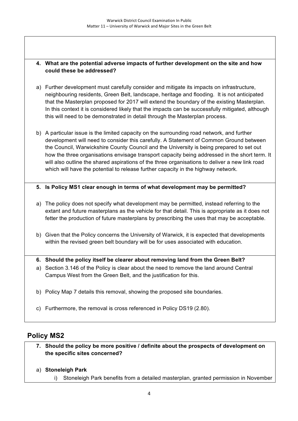## **4. What are the potential adverse impacts of further development on the site and how could these be addressed?**

- a) Further development must carefully consider and mitigate its impacts on infrastructure, neighbouring residents, Green Belt, landscape, heritage and flooding. It is not anticipated that the Masterplan proposed for 2017 will extend the boundary of the existing Masterplan. In this context it is considered likely that the impacts can be successfully mitigated, although this will need to be demonstrated in detail through the Masterplan process.
- b) A particular issue is the limited capacity on the surrounding road network, and further development will need to consider this carefully. A Statement of Common Ground between the Council, Warwickshire County Council and the University is being prepared to set out how the three organisations envisage transport capacity being addressed in the short term. It will also outline the shared aspirations of the three organisations to deliver a new link road which will have the potential to release further capacity in the highway network.

## **5. Is Policy MS1 clear enough in terms of what development may be permitted?**

- a) The policy does not specify what development may be permitted, instead referring to the extant and future masterplans as the vehicle for that detail. This is appropriate as it does not fetter the production of future masterplans by prescribing the uses that may be acceptable.
- b) Given that the Policy concerns the University of Warwick, it is expected that developments within the revised green belt boundary will be for uses associated with education.
- **6. Should the policy itself be clearer about removing land from the Green Belt?**
- a) Section 3.146 of the Policy is clear about the need to remove the land around Central Campus West from the Green Belt, and the justification for this.
- b) Policy Map 7 details this removal, showing the proposed site boundaries.
- c) Furthermore, the removal is cross referenced in Policy DS19 (2.80).

## **Policy MS2**

- **7. Should the policy be more positive / definite about the prospects of development on the specific sites concerned?**
- a) **Stoneleigh Park**
	- i) Stoneleigh Park benefits from a detailed masterplan, granted permission in November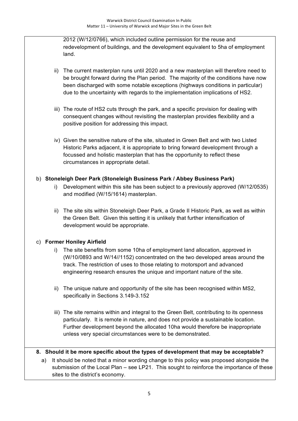2012 (W/12/0766), which included outline permission for the reuse and redevelopment of buildings, and the development equivalent to 5ha of employment land.

- ii) The current masterplan runs until 2020 and a new masterplan will therefore need to be brought forward during the Plan period. The majority of the conditions have now been discharged with some notable exceptions (highways conditions in particular) due to the uncertainty with regards to the implementation implications of HS2.
- iii) The route of HS2 cuts through the park, and a specific provision for dealing with consequent changes without revisiting the masterplan provides flexibility and a positive position for addressing this impact.
- iv) Given the sensitive nature of the site, situated in Green Belt and with two Listed Historic Parks adjacent, it is appropriate to bring forward development through a focussed and holistic masterplan that has the opportunity to reflect these circumstances in appropriate detail.

## b) **Stoneleigh Deer Park (Stoneleigh Business Park / Abbey Business Park)**

- i) Development within this site has been subject to a previously approved (W/12/0535) and modified (W/15/1614) masterplan.
- ii) The site sits within Stoneleigh Deer Park, a Grade II Historic Park, as well as within the Green Belt. Given this setting it is unlikely that further intensification of development would be appropriate.

## c) **Former Honiley Airfield**

- i) The site benefits from some 10ha of employment land allocation, approved in (W/10/0893 and W/14//1152) concentrated on the two developed areas around the track. The restriction of uses to those relating to motorsport and advanced engineering research ensures the unique and important nature of the site.
- ii) The unique nature and opportunity of the site has been recognised within MS2, specifically in Sections 3.149-3.152
- iii) The site remains within and integral to the Green Belt, contributing to its openness particularly. It is remote in nature, and does not provide a sustainable location. Further development beyond the allocated 10ha would therefore be inappropriate unless very special circumstances were to be demonstrated.

## **8. Should it be more specific about the types of development that may be acceptable?**

a) It should be noted that a minor wording change to this policy was proposed alongside the submission of the Local Plan – see LP21. This sought to reinforce the importance of these sites to the district's economy.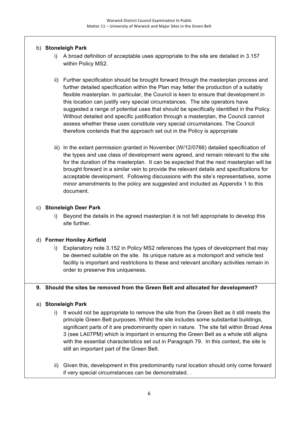## b) **Stoneleigh Park**

- i) A broad definition of acceptable uses appropriate to the site are detailed in 3.157 within Policy MS2.
- ii) Further specification should be brought forward through the masterplan process and further detailed specification within the Plan may fetter the production of a suitably flexible masterplan. In particular, the Council is keen to ensure that development in this location can justify very special circumstances. The site operators have suggested a range of potential uses that should be specifically identified in the Policy. Without detailed and specific justification through a masterplan, the Council cannot assess whether these uses constitute very special circumstances. The Council therefore contends that the approach set out in the Policy is appropriate
- iii) In the extant permission granted in November (W/12/0766) detailed specification of the types and use class of development were agreed, and remain relevant to the site for the duration of the masterplan. It can be expected that the next masterplan will be brought forward in a similar vein to provide the relevant details and specifications for acceptable development. Following discussions with the site's representatives, some minor amendments to the policy are suggested and included as Appendix 1 to this document.

## c) **Stoneleigh Deer Park**

i) Beyond the details in the agreed masterplan it is not felt appropriate to develop this site further.

## d) **Former Honiley Airfield**

i) Explanatory note 3.152 in Policy MS2 references the types of development that may be deemed suitable on the site. Its unique nature as a motorsport and vehicle test facility is important and restrictions to these and relevant ancillary activities remain in order to preserve this uniqueness.

## **9. Should the sites be removed from the Green Belt and allocated for development?**

## a) **Stoneleigh Park**

- i) It would not be appropriate to remove the site from the Green Belt as it still meets the principle Green Belt purposes. Whilst the site includes some substantial buildings, significant parts of it are predominantly open in nature. The site fall within Broad Area 3 (see LA07PM) which is important in ensuring the Green Belt as a whole still aligns with the essential characteristics set out in Paragraph 79. In this context, the site is still an important part of the Green Belt.
- ii) Given this, development in this predominantly rural location should only come forward if very special circumstances can be demonstrated. .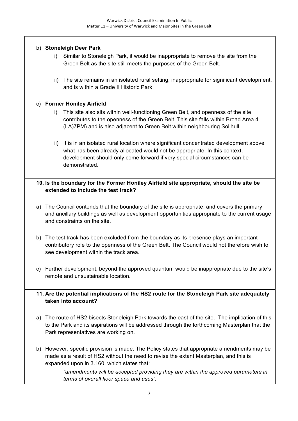#### b) **Stoneleigh Deer Park**

- i) Similar to Stoneleigh Park, it would be inappropriate to remove the site from the Green Belt as the site still meets the purposes of the Green Belt.
- ii) The site remains in an isolated rural setting, inappropriate for significant development, and is within a Grade II Historic Park.

#### c) **Former Honiley Airfield**

- i) This site also sits within well-functioning Green Belt, and openness of the site contributes to the openness of the Green Belt. This site falls within Broad Area 4 (LA)7PM) and is also adjacent to Green Belt within neighbouring Solihull.
- ii) It is in an isolated rural location where significant concentrated development above what has been already allocated would not be appropriate. In this context, development should only come forward if very special circumstances can be demonstrated.

#### **10. Is the boundary for the Former Honiley Airfield site appropriate, should the site be extended to include the test track?**

- a) The Council contends that the boundary of the site is appropriate, and covers the primary and ancillary buildings as well as development opportunities appropriate to the current usage and constraints on the site.
- b) The test track has been excluded from the boundary as its presence plays an important contributory role to the openness of the Green Belt. The Council would not therefore wish to see development within the track area.
- c) Further development, beyond the approved quantum would be inappropriate due to the site's remote and unsustainable location.

## **11. Are the potential implications of the HS2 route for the Stoneleigh Park site adequately taken into account?**

- a) The route of HS2 bisects Stoneleigh Park towards the east of the site. The implication of this to the Park and its aspirations will be addressed through the forthcoming Masterplan that the Park representatives are working on.
- b) However, specific provision is made. The Policy states that appropriate amendments may be made as a result of HS2 without the need to revise the extant Masterplan, and this is expanded upon in 3.160, which states that:

*"amendments will be accepted providing they are within the approved parameters in terms of overall floor space and uses".*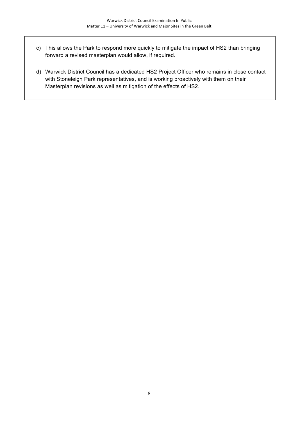- c) This allows the Park to respond more quickly to mitigate the impact of HS2 than bringing forward a revised masterplan would allow, if required.
- d) Warwick District Council has a dedicated HS2 Project Officer who remains in close contact with Stoneleigh Park representatives, and is working proactively with them on their Masterplan revisions as well as mitigation of the effects of HS2.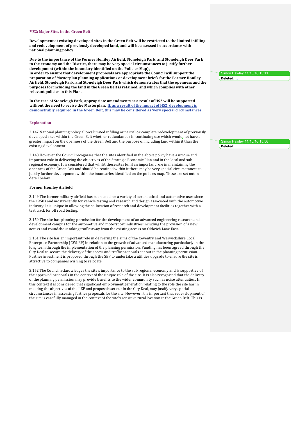#### **MS2: Major Sites in the Green Belt**

Development at existing developed sites in the Green Belt will be restricted to the limited infilling and redevelopment of previously developed land, and will be assessed in accordance with **national planning policy.**

Due to the importance of the Former Honiley Airfield, Stoneleigh Park, and Stoneleigh Deer Park to the economy and the District, there may be very special circumstances to justify further development (within the boundary identified on the Policies Map). In order to ensure that development proposals are appropriate the Council will support the

preparation of Masterplan planning applications or development briefs for the Former Honiley **Airfield, Stoneleigh Park, and Stoneleigh Deer Park which demonstrates that the openness and the purposes for including the land in the Green Belt is retained, and which complies with other** relevant policies in this Plan.

In the case of Stoneleigh Park, appropriate amendments as a result of HS2 will be supported without the need to revise the Masterplan. If, as a result of the impact of HS2, development is demonstrably required in the Green Belt, this may be considered as 'very special circumstances'.

#### **Explanation**

3.147 National planning policy allows limited infilling or partial or complete redevelopment of previously developed sites within the Green Belt whether redundant or in continuing use which would not have a greater impact on the openness of the Green Belt and the purpose of including land within it than the existing development

3.148 However the Council recognises that the sites identified in the above policy have a unique and important role in delivering the objectives of the Strategic Economic Plan and in the local and sub regional economy. It is considered that whilst these sites fulfil an important role in maintaining the openness of the Green Belt and should be retained within it there may be very special circumstances to justify further development within the boundaries identified on the policies map. These are set out in detail below.

#### **Former Honiley Airfield**

3.149 The former military airfield has been used for a variety of aeronautical and automotive uses since the 1950s and most recently for vehicle testing and research and design associated with the automotive industry. It is unique in allowing the co-location of research and development facilities together with a test track for off road testing.

3.150 The site has planning permission for the development of an advanced engineering research and development campus for the automotive and motorsport industries including the provision of a new access and roundabout taking traffic away from the existing access on Oldwich Lane East.

3.151 The site has an important role in delivering the aims of the Coventry and Warwickshire Local Enterprise Partnership  $\overline{(CWLEP)}$  in relation to the growth of advanced manufacturing particularly in the long term through the implementation of the planning permission. Funding has been agreed through the City Deal to secure the delivery of the access and traffic proposals set out in the planning permission. Further investment is proposed through the SEP to undertake a utilities upgrade to ensure the site is attractive to companies wishing to relocate.

3.152 The Council acknowledges the site's importance to the sub regional economy and is supportive of the approved proposals in the context of the unique role of the site. It is also recognised that the delivery of the planning permission may provide benefits to the wider community such as noise attenuation. In this context it is considered that significant employment generation relating to the role the site has in meeting the objectives of the LEP and proposals set out in the City Deal, may justify very special circumstances in assessing further proposals for the site. However, it is important that redevelopment of the site is carefully managed in the context of the site's sensitive rural location in the Green Belt. This is

Simon Hawley 11/10/16 15:11 **Deleted:** 

Simon Hawley 11/10/16 15:56 **Deleted:**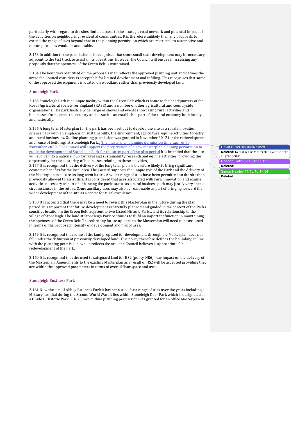particularly with regard to the sites limited access to the strategic road network and potential impact of the activities on neighbouring residential communities. It is therefore unlikely than any proposals to extend the range of uses beyond that in the planning permission which are restricted to automotive and motorsport uses would be acceptable.

3.153 In addition to the permission it is recognised that some small scale development may be necessary adjacent to the test track to assist in its operations, however the Council will ensure in assessing any proposals that the openness of the Green Belt is maintained.

3.154 The boundary identified on the proposals map reflects the approved planning unit and defines the areas the Council considers is acceptable for limited development and infilling. This recognises that some of the approved development is located on woodland rather than previously developed land.

#### **Stoneleigh Park**

3.155 Stoneleigh Park is a unique facility within the Green Belt which is home to the headquarters of the Royal Agricultural Society for England (RASE) and a number of other agricultural and countryside organisations. The park hosts a wide range of shows and events showcasing rural activities and businesses from across the country and as such is an established part of the rural economy both locally and nationally.

3.156 A long term Masterplan for the park has been set out to develop the site as a rural innovation science park with an emphasis on sustainability, the environment, agriculture, equine activities, forestry, and rural businesses. Outline planning permission was granted in November 2012 for the redevelopment and reuse of buildings at Stoneleigh Park  $\sqrt{\frac{m}{n}}$  The masterplan planning permission time expires in November 2020. The Council will support the preparation of a new masterplan planning permission to guide the development of Stoneleigh Park for the latter part of the plan period It is intended that the site will evolve into a national hub for rural and sustainability research and equine activities, providing the opportunity for the clustering of businesses relating to these activities.

3.157 It is recognised that the delivery of the long term plan is therefore likely to bring significant economic benefits for the local area. The Council supports the unique role of the Park and the delivery of the Masterplan to secure its long term future. A wider range of uses have been permitted on the site than previously allowed to assist this. It is considered that uses associated with rural innovation and equine activities necessary as part of enhancing the parks status as a rural business park may justify very special circumstances in the future. Some ancillary uses may also be reasonable as part of bringing forward the wider development of the site as a centre for rural excellence.

 $3.158$  It is accepted that there may be a need to revisit this Masterplan in the future during the plan period. It is important that future development is carefully planned and guided in the context of the Parks sensitive location in the Green Belt, adjacent to two Listed Historic Parks, and its relationship to the village of Stoneleigh. The land at Stoneleigh Park continues to fulfil an important function in maintaining the openness of the Green Belt. Therefore any future updates to the Masterplan will need to be assessed in terms of the proposed intensity of development and mix of uses.

3.159 It is recognised that some of the land proposed for development through the Masterplan does not fall under the definition of previously developed land. This policy therefore defines the boundary, in line with the planning permission, which reflects the area the Council believes is appropriate for redevelopment of the Park.

3.160 It is recognised that the need to safeguard land for HS2 (policy NE6) may impact on the delivery of the Masterplan. Amendments to the existing Masterplan as a result of HS2 will be accepted providing they are within the approved parameters in terms of overall floor space and uses.

#### **Stoneleigh Business Park**

3.161 Now the site of Abbey Business Park it has been used for a range of uses over the years including a Military hospital during the Second World War. It lies within Stoneleigh Deer Park which is designated as a Grade II Historic Park. 3.162 Since outline planning permission was granted for an office Masterplan in

#### David Butler 18/10/16 10:28 **Deleted:** to realise this Masterplan over the next 15 year period Hooper, Colin 12/10/16 09:02 **Deleted:** . Simon Hawley 11/10/16 17:34 **Deleted:** .